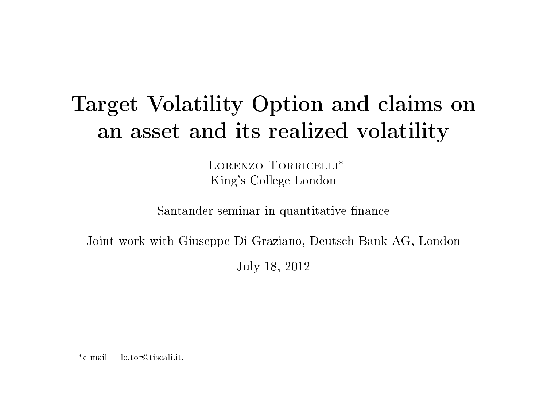# <span id="page-0-0"></span>Target Volatility Option and claims on an asset and its realized volatility

LORENZO TORRICELLI<sup>\*</sup> King's College London

Santander seminar in quantitative finance

Joint work with Giuseppe Di Graziano, Deutsch Bank AG, London

July 18, 2012

<sup>∗</sup>e-mail = lo.tor@tiscali.it.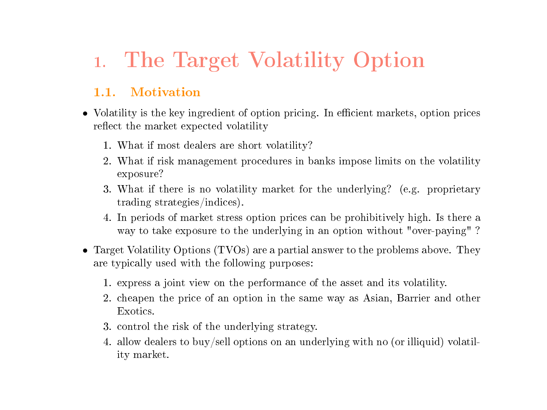# 1. The Target Volatility Option

## 1.1. Motivation

- Volatility is the key ingredient of option pricing. In efficient markets, option prices reflect the market expected volatility
	- 1. What if most dealers are short volatility?
	- 2. What if risk management procedures in banks impose limits on the volatility exposure?
	- 3. What if there is no volatility market for the underlying? (e.g. proprietary trading strategies/indices).
	- 4. In periods of market stress option prices can be prohibitively high. Is there a way to take exposure to the underlying in an option without "over-paying" ?
- Target Volatility Options (TVOs) are a partial answer to the problems above. They are typically used with the following purposes:
	- 1. express a joint view on the performance of the asset and its volatility.
	- 2. cheapen the price of an option in the same way as Asian, Barrier and other Exotics.
	- 3. control the risk of the underlying strategy.
	- 4. allow dealers to buy/sell options on an underlying with no (or illiquid) volatility market.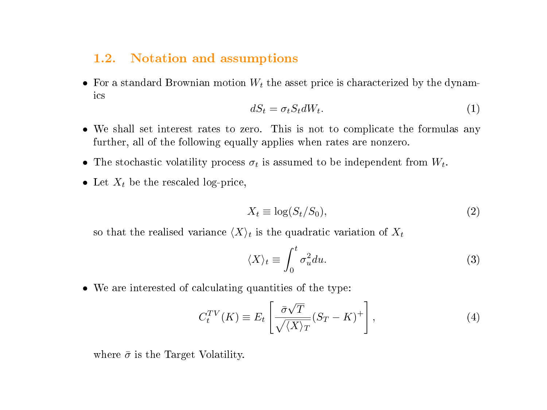#### 1.2. Notation and assumptions

• For a standard Brownian motion  $W_t$  the asset price is characterized by the dynamics

$$
dS_t = \sigma_t S_t dW_t. \tag{1}
$$

- We shall set interest rates to zero. This is not to complicate the formulas any further, all of the following equally applies when rates are nonzero.
- The stochastic volatility process  $\sigma_t$  is assumed to be independent from  $W_t$ .
- Let  $X_t$  be the rescaled log-price,

$$
X_t \equiv \log(S_t/S_0),\tag{2}
$$

so that the realised variance  $\langle X \rangle_t$  is the quadratic variation of  $X_t$ 

$$
\langle X \rangle_t \equiv \int_0^t \sigma_u^2 du. \tag{3}
$$

• We are interested of calculating quantities of the type:

$$
C_t^{TV}(K) \equiv E_t \left[ \frac{\bar{\sigma}\sqrt{T}}{\sqrt{\langle X \rangle_T}} (S_T - K)^+ \right],\tag{4}
$$

where  $\bar{\sigma}$  is the Target Volatility.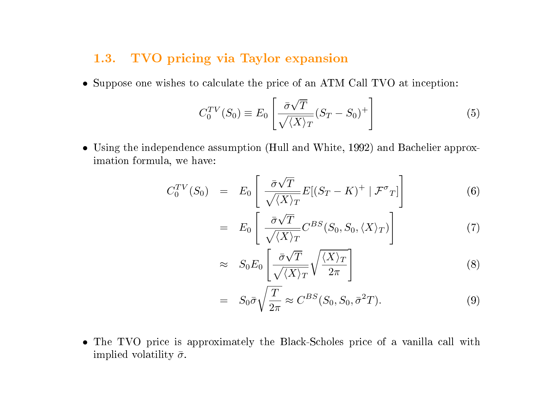## 1.3. TVO pricing via Taylor expansion

• Suppose one wishes to calculate the price of an ATM Call TVO at inception:

$$
C_0^{TV}(S_0) \equiv E_0 \left[ \frac{\bar{\sigma}\sqrt{T}}{\sqrt{\langle X \rangle_T}} (S_T - S_0)^+ \right]
$$
 (5)

• Using the independence assumption (Hull and White, 1992) and Bachelier approximation formula, we have:

$$
C_0^{TV}(S_0) = E_0 \left[ \frac{\bar{\sigma}\sqrt{T}}{\sqrt{\langle X \rangle_T}} E[(S_T - K)^+ | \mathcal{F}^{\sigma}{}_T] \right]
$$
(6)

$$
= E_0 \left[ \frac{\bar{\sigma} \sqrt{T}}{\sqrt{\langle X \rangle_T}} C^{BS}(S_0, S_0, \langle X \rangle_T) \right] \tag{7}
$$

$$
\approx S_0 E_0 \left[ \frac{\bar{\sigma} \sqrt{T}}{\sqrt{\langle X \rangle_T}} \sqrt{\frac{\langle X \rangle_T}{2\pi}} \right]
$$
 (8)

$$
= S_0 \bar{\sigma} \sqrt{\frac{T}{2\pi}} \approx C^{BS}(S_0, S_0, \bar{\sigma}^2 T). \tag{9}
$$

• The TVO price is approximately the Black-Scholes price of a vanilla call with implied volatility  $\bar{\sigma}$ .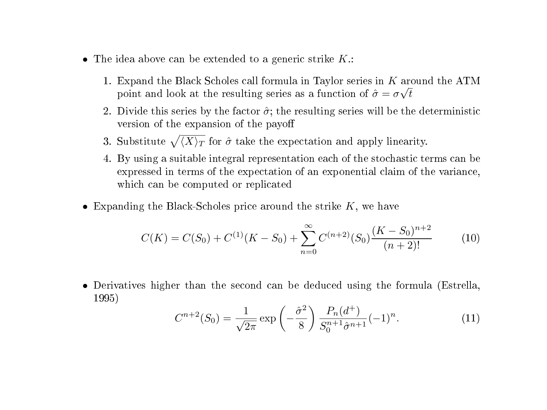- The idea above can be extended to a generic strike  $K$ .:
	- 1. Expand the Black Scholes call formula in Taylor series in  $K$  around the ATM point and look at the resulting series as a function of  $\hat{\sigma} = \sigma \sqrt{t}$
	- 2. Divide this series by the factor  $\hat{\sigma}$ ; the resulting series will be the deterministic version of the expansion of the payo
	- 3. Substitute  $\sqrt{\langle X \rangle_T}$  for  $\hat{\sigma}$  take the expectation and apply linearity.
	- 4. By using a suitable integral representation each of the stochastic terms can be expressed in terms of the expectation of an exponential claim of the variance, which can be computed or replicated
- Expanding the Black-Scholes price around the strike  $K$ , we have

$$
C(K) = C(S_0) + C^{(1)}(K - S_0) + \sum_{n=0}^{\infty} C^{(n+2)}(S_0) \frac{(K - S_0)^{n+2}}{(n+2)!}
$$
 (10)

• Derivatives higher than the second can be deduced using the formula (Estrella, 1995)

$$
C^{n+2}(S_0) = \frac{1}{\sqrt{2\pi}} \exp\left(-\frac{\hat{\sigma}^2}{8}\right) \frac{P_n(d^+)}{S_0^{n+1}\hat{\sigma}^{n+1}} (-1)^n. \tag{11}
$$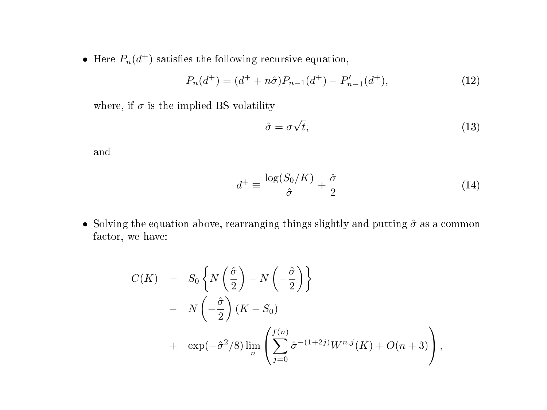• Here  $P_n(d^+)$  satisfies the following recursive equation,

$$
P_n(d^+) = (d^+ + n\hat{\sigma})P_{n-1}(d^+) - P'_{n-1}(d^+),\tag{12}
$$

where, if  $\sigma$  is the implied BS volatility

$$
\hat{\sigma} = \sigma \sqrt{t},\tag{13}
$$

and

$$
d^+ \equiv \frac{\log(S_0/K)}{\hat{\sigma}} + \frac{\hat{\sigma}}{2} \tag{14}
$$

• Solving the equation above, rearranging things slightly and putting  $\hat{\sigma}$  as a common factor, we have:

$$
C(K) = S_0 \left\{ N \left( \frac{\hat{\sigma}}{2} \right) - N \left( -\frac{\hat{\sigma}}{2} \right) \right\}
$$
  
- 
$$
N \left( -\frac{\hat{\sigma}}{2} \right) (K - S_0)
$$
  
+ 
$$
\exp(-\hat{\sigma}^2/8) \lim_{n} \left( \sum_{j=0}^{f(n)} \hat{\sigma}^{-(1+2j)} W^{n,j}(K) + O(n+3) \right),
$$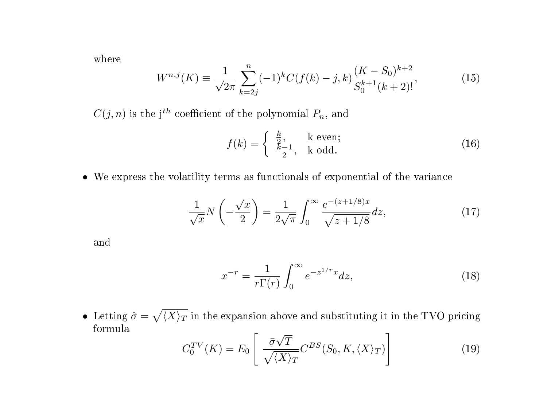where

$$
W^{n,j}(K) \equiv \frac{1}{\sqrt{2\pi}} \sum_{k=2j}^{n} (-1)^k C(f(k) - j, k) \frac{(K - S_0)^{k+2}}{S_0^{k+1}(k+2)!},
$$
(15)

 $C(j, n)$  is the j<sup>th</sup> coefficient of the polynomial  $P_n$ , and

$$
f(k) = \begin{cases} \frac{k}{2}, & k \text{ even;} \\ \frac{k-1}{2}, & k \text{ odd.} \end{cases}
$$
 (16)

• We express the volatility terms as functionals of exponential of the variance

$$
\frac{1}{\sqrt{x}}N\left(-\frac{\sqrt{x}}{2}\right) = \frac{1}{2\sqrt{\pi}}\int_0^\infty \frac{e^{-(z+1/8)x}}{\sqrt{z+1/8}}dz,\tag{17}
$$

and

$$
x^{-r} = \frac{1}{r\Gamma(r)} \int_0^\infty e^{-z^{1/r}x} dz,
$$
\n(18)

• Letting  $\hat{\sigma} = \sqrt{\langle X \rangle_T}$  in the expansion above and substituting it in the TVO pricing formula √

$$
C_0^{TV}(K) = E_0 \left[ \frac{\bar{\sigma}\sqrt{T}}{\sqrt{\langle X \rangle_T}} C^{BS}(S_0, K, \langle X \rangle_T) \right]
$$
(19)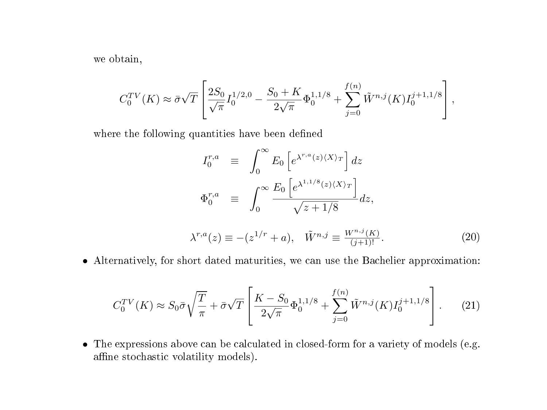we obtain,

$$
C_0^{TV}(K) \approx \bar{\sigma}\sqrt{T} \left[ \frac{2S_0}{\sqrt{\pi}} I_0^{1/2,0} - \frac{S_0 + K}{2\sqrt{\pi}} \Phi_0^{1,1/8} + \sum_{j=0}^{f(n)} \tilde{W}^{n,j}(K) I_0^{j+1,1/8} \right],
$$

where the following quantities have been defined

$$
I_0^{r,a} \equiv \int_0^\infty E_0 \left[ e^{\lambda^{r,a}(z)(X)\tau} \right] dz
$$
  
\n
$$
\Phi_0^{r,a} \equiv \int_0^\infty \frac{E_0 \left[ e^{\lambda^{1,1/8}(z)(X)\tau} \right]}{\sqrt{z+1/8}} dz,
$$
  
\n
$$
\lambda^{r,a}(z) \equiv -(z^{1/r} + a), \quad \tilde{W}^{n,j} \equiv \frac{W^{n,j}(K)}{(j+1)!}.
$$
 (20)

• Alternatively, for short dated maturities, we can use the Bachelier approximation:

$$
C_0^{TV}(K) \approx S_0 \bar{\sigma} \sqrt{\frac{T}{\pi}} + \bar{\sigma} \sqrt{T} \left[ \frac{K - S_0}{2\sqrt{\pi}} \Phi_0^{1,1/8} + \sum_{j=0}^{f(n)} \tilde{W}^{n,j}(K) I_0^{j+1,1/8} \right].
$$
 (21)

• The expressions above can be calculated in closed-form for a variety of models (e.g. affine stochastic volatility models).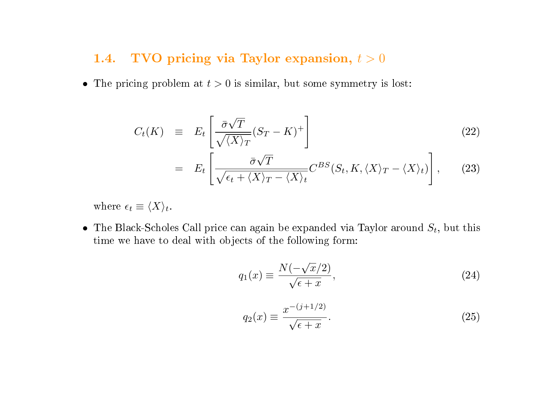### <span id="page-8-0"></span>1.4. TVO pricing via Taylor expansion,  $t > 0$

• The pricing problem at  $t > 0$  is similar, but some symmetry is lost:

$$
C_t(K) \equiv E_t \left[ \frac{\bar{\sigma} \sqrt{T}}{\sqrt{\langle X \rangle_T}} (S_T - K)^+ \right] \tag{22}
$$

$$
= E_t \left[ \frac{\bar{\sigma} \sqrt{T}}{\sqrt{\epsilon_t + \langle X \rangle_T - \langle X \rangle_t}} C^{BS}(S_t, K, \langle X \rangle_T - \langle X \rangle_t) \right], \quad (23)
$$

where  $\epsilon_t \equiv \langle X \rangle_t$ .

• The Black-Scholes Call price can again be expanded via Taylor around  $S_t$ , but this time we have to deal with objects of the following form:

$$
q_1(x) \equiv \frac{N(-\sqrt{x}/2)}{\sqrt{\epsilon + x}},\tag{24}
$$

$$
q_2(x) \equiv \frac{x^{-(j+1/2)}}{\sqrt{\epsilon + x}}.\tag{25}
$$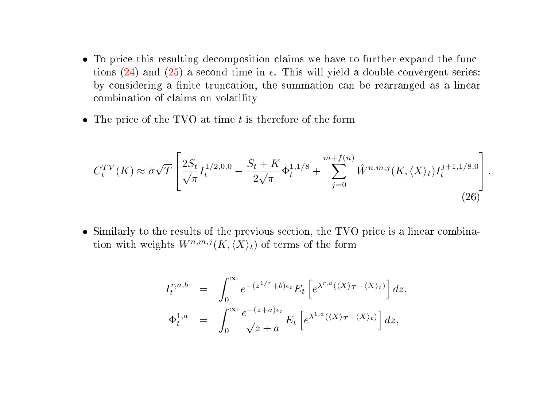- <span id="page-9-0"></span>• To price this resulting decomposition claims we have to further expand the functions  $(24)$  and  $(25)$  a second time in  $\epsilon$ . This will yield a double convergent series: by considering a finite truncation, the summation can be rearranged as a linear combination of claims on volatility
- The price of the TVO at time  $t$  is therefore of the form

$$
C_t^{TV}(K) \approx \bar{\sigma}\sqrt{T} \left[ \frac{2S_t}{\sqrt{\pi}} I_t^{1/2,0,0} - \frac{S_t + K}{2\sqrt{\pi}} \Phi_t^{1,1/8} + \sum_{j=0}^{m+f(n)} \hat{W}^{n,m,j}(K,\langle X \rangle_t) I_t^{j+1,1/8,0} \right].
$$
\n(26)

• Similarly to the results of the previous section, the TVO price is a linear combination with weights  $W^{n,m,j}(K,\langle X\rangle_t)$  of terms of the form

$$
I_t^{r,a,b} = \int_0^\infty e^{-(z^{1/r}+b)\epsilon_t} E_t \left[ e^{\lambda^{r,a}(\langle X \rangle_T - \langle X \rangle_t)} \right] dz,
$$
  

$$
\Phi_t^{1,a} = \int_0^\infty \frac{e^{-(z+a)\epsilon_t}}{\sqrt{z+a}} E_t \left[ e^{\lambda^{1,a}(\langle X \rangle_T - \langle X \rangle_t)} \right] dz,
$$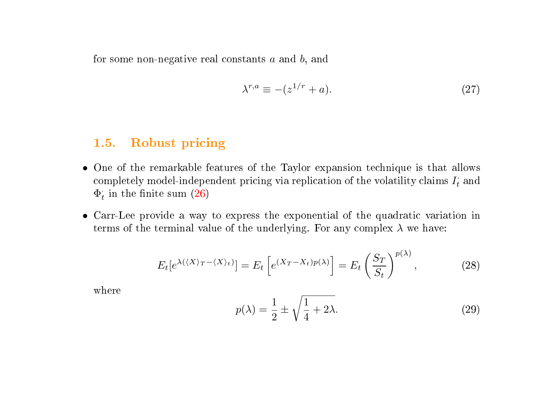for some non-negative real constants  $a$  and  $b$ , and

$$
\lambda^{r,a} \equiv -(z^{1/r} + a). \tag{27}
$$

#### 1.5. Robust pricing

- One of the remarkable features of the Taylor expansion technique is that allows completely model-independent pricing via replication of the volatility claims  $I_t$  and  $\Phi_t$  in the finite sum [\(26\)](#page-9-0)
- Carr-Lee provide a way to express the exponential of the quadratic variation in terms of the terminal value of the underlying. For any complex  $\lambda$  we have:

$$
E_t[e^{\lambda(\langle X \rangle_T - \langle X \rangle_t)}] = E_t\left[e^{\langle X_T - X_t \rangle p(\lambda)}\right] = E_t\left(\frac{S_T}{S_t}\right)^{p(\lambda)},\tag{28}
$$

where

$$
p(\lambda) = \frac{1}{2} \pm \sqrt{\frac{1}{4} + 2\lambda}.
$$
 (29)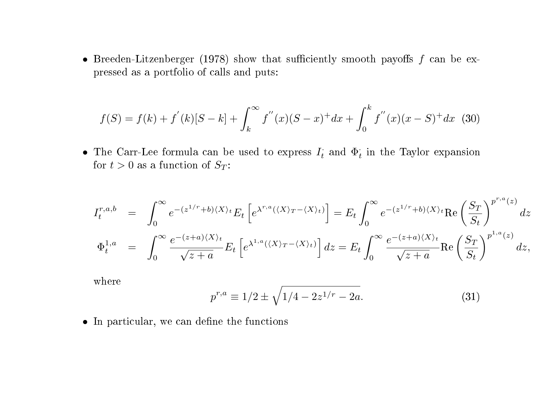<span id="page-11-0"></span>• Breeden-Litzenberger (1978) show that sufficiently smooth payoffs  $f$  can be expressed as a portfolio of calls and puts:

$$
f(S) = f(k) + f^{'}(k)[S - k] + \int_{k}^{\infty} f^{''}(x)(S - x)^{+} dx + \int_{0}^{k} f^{''}(x)(x - S)^{+} dx
$$
 (30)

• The Carr-Lee formula can be used to express  $I_t$  and  $\Phi_t$  in the Taylor expansion for  $t > 0$  as a function of  $S_T$ :

$$
I_t^{r,a,b} = \int_0^{\infty} e^{-(z^{1/r}+b)(X)_t} E_t \left[ e^{\lambda^{r,a}(\langle X \rangle_T - \langle X \rangle_t)} \right] = E_t \int_0^{\infty} e^{-(z^{1/r}+b)\langle X \rangle_t} \text{Re} \left( \frac{S_T}{S_t} \right)^{p^{r,a}(z)} dz
$$
  

$$
\Phi_t^{1,a} = \int_0^{\infty} \frac{e^{-(z+a)\langle X \rangle_t}}{\sqrt{z+a}} E_t \left[ e^{\lambda^{1,a}(\langle X \rangle_T - \langle X \rangle_t)} \right] dz = E_t \int_0^{\infty} \frac{e^{-(z+a)\langle X \rangle_t}}{\sqrt{z+a}} \text{Re} \left( \frac{S_T}{S_t} \right)^{p^{1,a}(z)} dz,
$$

where

$$
p^{r,a} \equiv 1/2 \pm \sqrt{1/4 - 2z^{1/r} - 2a}.
$$
\n(31)

r,a(z)

 $\bullet$  In particular, we can define the functions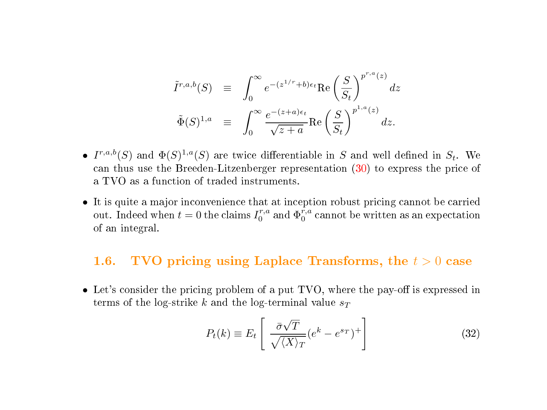$$
\tilde{I}^{r,a,b}(S) \equiv \int_0^\infty e^{-(z^{1/r}+b)\epsilon_t} \text{Re}\left(\frac{S}{S_t}\right)^{p^{r,a}(z)} dz
$$
  

$$
\tilde{\Phi}(S)^{1,a} \equiv \int_0^\infty \frac{e^{-(z+a)\epsilon_t}}{\sqrt{z+a}} \text{Re}\left(\frac{S}{S_t}\right)^{p^{1,a}(z)} dz.
$$

- $I^{r,a,b}(S)$  and  $\Phi(S)^{1,a}(S)$  are twice differentiable in S and well defined in  $S_t$ . We can thus use the Breeden-Litzenberger representation [\(30\)](#page-11-0) to express the price of a TVO as a function of traded instruments.
- It is quite a major inconvenience that at inception robust pricing cannot be carried out. Indeed when  $t = 0$  the claims  $I_0^{r,a}$  and  $\Phi_0^{r,a}$  cannot be written as an expectation of an integral.

#### 1.6. TVO pricing using Laplace Transforms, the  $t > 0$  case

• Let's consider the pricing problem of a put TVO, where the pay-off is expressed in terms of the log-strike k and the log-terminal value  $s_T$ 

$$
P_t(k) \equiv E_t \left[ \frac{\bar{\sigma}\sqrt{T}}{\sqrt{\langle X \rangle_T}} (e^k - e^{s_T})^+ \right]
$$
 (32)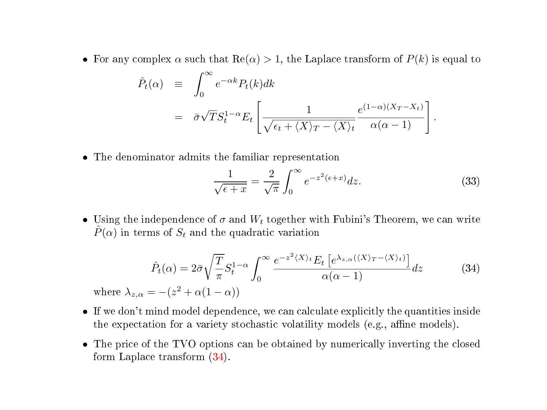• For any complex  $\alpha$  such that  $\text{Re}(\alpha) > 1$ , the Laplace transform of  $P(k)$  is equal to

$$
\hat{P}_t(\alpha) = \int_0^\infty e^{-\alpha k} P_t(k) dk
$$
\n
$$
= \bar{\sigma} \sqrt{T} S_t^{1-\alpha} E_t \left[ \frac{1}{\sqrt{\epsilon_t + \langle X \rangle_T - \langle X \rangle_t}} \frac{e^{(1-\alpha)(X_T - X_t)}}{\alpha(\alpha - 1)} \right]
$$

• The denominator admits the familiar representation

$$
\frac{1}{\sqrt{\epsilon+x}} = \frac{2}{\sqrt{\pi}} \int_0^\infty e^{-z^2(\epsilon+x)} dz.
$$
 (33)

.

• Using the independence of  $\sigma$  and  $W_t$  together with Fubini's Theorem, we can write  $\hat{P}(\alpha)$  in terms of  $S_t$  and the quadratic variation

$$
\hat{P}_t(\alpha) = 2\bar{\sigma}\sqrt{\frac{T}{\pi}}S_t^{1-\alpha} \int_0^\infty \frac{e^{-z^2\langle X\rangle_t} E_t\left[e^{\lambda_{z,\alpha}(\langle X\rangle_T - \langle X\rangle_t)}\right]}{\alpha(\alpha-1)}dz
$$
\n(34)

where  $\lambda_{z,\alpha} = -(z^2 + \alpha(1-\alpha))$ 

- If we don't mind model dependence, we can calculate explicitly the quantities inside the expectation for a variety stochastic volatility models (e.g., affine models).
- The price of the TVO options can be obtained by numerically inverting the closed form Laplace transform (34).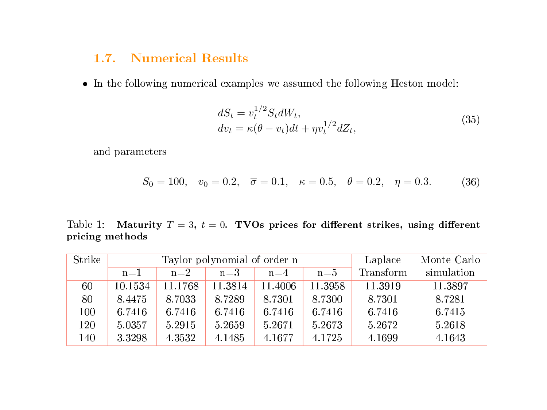## 1.7. Numerical Results

• In the following numerical examples we assumed the following Heston model:

$$
dS_t = v_t^{1/2} S_t dW_t,
$$
  
\n
$$
dv_t = \kappa(\theta - v_t) dt + \eta v_t^{1/2} dZ_t,
$$
\n(35)

and parameters

$$
S_0 = 100
$$
,  $v_0 = 0.2$ ,  $\overline{\sigma} = 0.1$ ,  $\kappa = 0.5$ ,  $\theta = 0.2$ ,  $\eta = 0.3$ . (36)

Table 1: Maturity  $T = 3$ ,  $t = 0$ . TVOs prices for different strikes, using different pricing methods

| Strike |         | Taylor polynomial of order n | Laplace | Monte Carlo |         |           |            |
|--------|---------|------------------------------|---------|-------------|---------|-----------|------------|
|        | $n=1$   | $n=2$                        | $n=3$   | $n = 4$     | $n = 5$ | Transform | simulation |
| 60     | 10.1534 | 11.1768                      | 11.3814 | 11.4006     | 11.3958 | 11.3919   | 11.3897    |
| 80     | 8.4475  | 8.7033                       | 8.7289  | 8.7301      | 8.7300  | 8.7301    | 8.7281     |
| 100    | 6.7416  | 6.7416                       | 6.7416  | 6.7416      | 6.7416  | 6.7416    | 6.7415     |
| 120    | 5.0357  | 5.2915                       | 5.2659  | 5.2671      | 5.2673  | 5.2672    | 5.2618     |
| 140    | 3.3298  | 4.3532                       | 4.1485  | 4.1677      | 4.1725  | 4.1699    | 4.1643     |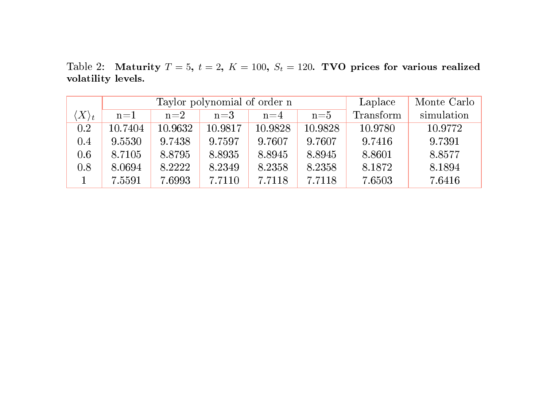Table 2: Maturity  $T = 5$ ,  $t = 2$ ,  $K = 100$ ,  $S_t = 120$ . TVO prices for various realized volatility levels.

|                      |         | Taylor polynomial of order n | Laplace | Monte Carlo |         |           |            |
|----------------------|---------|------------------------------|---------|-------------|---------|-----------|------------|
| $\langle X\rangle_t$ | $n=1$   | $n=2$                        | $n = 3$ | $n=4$       | $n = 5$ | Transform | simulation |
| 0.2                  | 10.7404 | 10.9632                      | 10.9817 | 10.9828     | 10.9828 | 10.9780   | 10.9772    |
| 0.4                  | 9.5530  | 9.7438                       | 9.7597  | 9.7607      | 9.7607  | 9.7416    | 9.7391     |
| 0.6                  | 8.7105  | 8.8795                       | 8.8935  | 8.8945      | 8.8945  | 8.8601    | 8.8577     |
| 0.8                  | 8.0694  | 8.2222                       | 8.2349  | 8.2358      | 8.2358  | 8.1872    | 8.1894     |
|                      | 7.5591  | 7.6993                       | 7.7110  | 7.7118      | 7.7118  | 7.6503    | 7.6416     |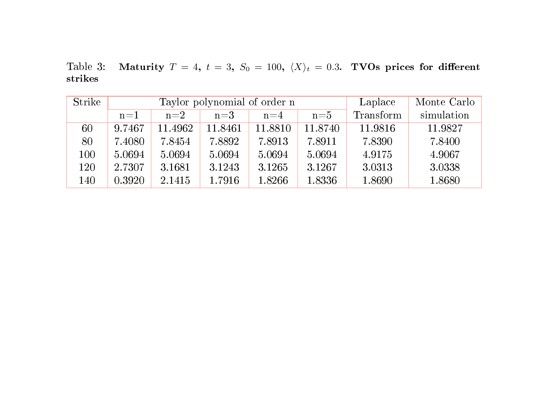Table 3: Maturity  $T = 4$ ,  $t = 3$ ,  $S_0 = 100$ ,  $\langle X \rangle_t = 0.3$ . TVOs prices for different strikes

| Strike | Taylor polynomial of order n |         |         |         |         | Laplace   | Monte Carlo |
|--------|------------------------------|---------|---------|---------|---------|-----------|-------------|
|        | $n=1$                        | $n=2$   | $n=3$   | $n=4$   | $n = 5$ | Transform | simulation  |
| 60     | 9.7467                       | 11.4962 | 11.8461 | 11.8810 | 11.8740 | 11.9816   | 11.9827     |
| 80     | 7.4080                       | 7.8454  | 7.8892  | 7.8913  | 7.8911  | 7.8390    | 7.8400      |
| 100    | 5.0694                       | 5.0694  | 5.0694  | 5.0694  | 5.0694  | 4.9175    | 4.9067      |
| 120    | 2.7307                       | 3.1681  | 3.1243  | 3.1265  | 3.1267  | 3.0313    | 3.0338      |
| 140    | 0.3920                       | 2.1415  | 1.7916  | 1.8266  | 1.8336  | 1.8690    | 1.8680      |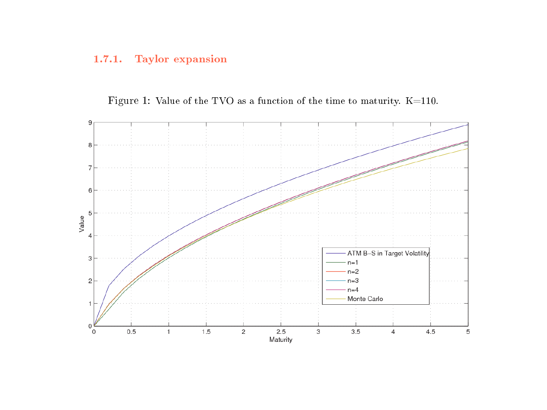#### 1.7.1. Taylor expansion



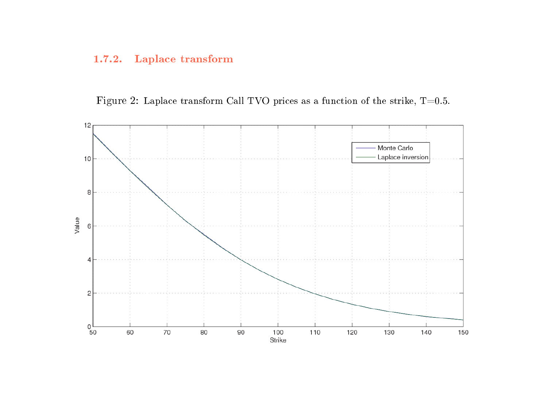#### 1.7.2. Laplace transform

Figure 2: Laplace transform Call TVO prices as a function of the strike, T=0.5.

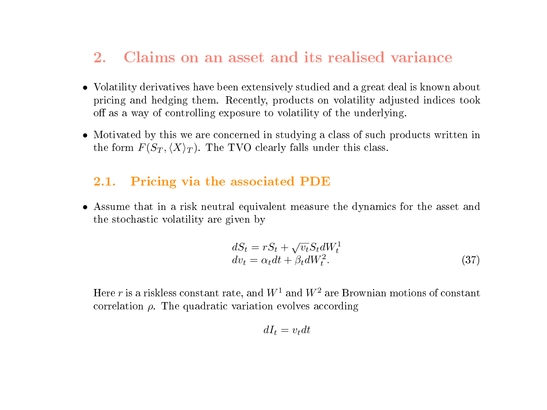## 2. Claims on an asset and its realised variance

- Volatility derivatives have been extensively studied and a great deal is known about pricing and hedging them. Recently, products on volatility adjusted indices took off as a way of controlling exposure to volatility of the underlying.
- Motivated by this we are concerned in studying a class of such products written in the form  $F(S_T, \langle X \rangle_T)$ . The TVO clearly falls under this class.

### 2.1. Pricing via the associated PDE

• Assume that in a risk neutral equivalent measure the dynamics for the asset and the stochastic volatility are given by

$$
dS_t = rS_t + \sqrt{v_t} S_t dW_t^1
$$
  
\n
$$
dv_t = \alpha_t dt + \beta_t dW_t^2.
$$
\n(37)

Here r is a riskless constant rate, and  $W^1$  and  $W^2$  are Brownian motions of constant correlation  $\rho$ . The quadratic variation evolves according

$$
dI_t = v_t dt
$$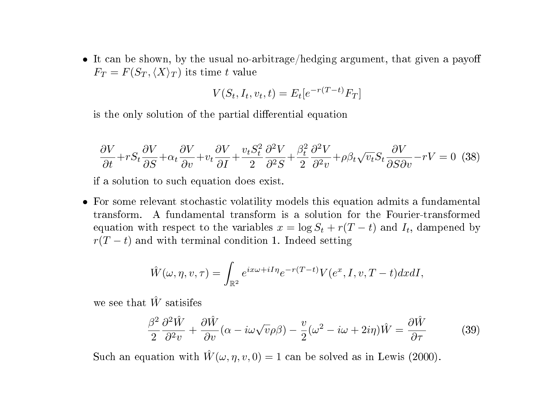• It can be shown, by the usual no-arbitrage/hedging argument, that given a payoff  $F_T = F(S_T, \langle X \rangle_T)$  its time t value

$$
V(S_t, I_t, v_t, t) = E_t[e^{-r(T-t)}F_T]
$$

is the only solution of the partial differential equation

$$
\frac{\partial V}{\partial t} + rS_t \frac{\partial V}{\partial S} + \alpha_t \frac{\partial V}{\partial v} + v_t \frac{\partial V}{\partial I} + \frac{v_t S_t^2}{2} \frac{\partial^2 V}{\partial^2 S} + \frac{\beta_t^2}{2} \frac{\partial^2 V}{\partial^2 v} + \rho \beta_t \sqrt{v_t} S_t \frac{\partial V}{\partial S \partial v} - rV = 0
$$
 (38)

if a solution to such equation does exist.

• For some relevant stochastic volatility models this equation admits a fundamental transform. A fundamental transform is a solution for the Fourier-transformed equation with respect to the variables  $x = \log S_t + r(T - t)$  and  $I_t$ , dampened by  $r(T - t)$  and with terminal condition 1. Indeed setting

$$
\hat{W}(\omega, \eta, v, \tau) = \int_{\mathbb{R}^2} e^{ix\omega + iI\eta} e^{-r(T-t)} V(e^x, I, v, T-t) dx dI,
$$

we see that  $\hat{W}$  satisifes

$$
\frac{\beta^2}{2} \frac{\partial^2 \hat{W}}{\partial^2 v} + \frac{\partial \hat{W}}{\partial v} (\alpha - i\omega\sqrt{v}\rho \beta) - \frac{v}{2} (\omega^2 - i\omega + 2i\eta) \hat{W} = \frac{\partial \hat{W}}{\partial \tau}
$$
(39)

Such an equation with  $\hat{W}(\omega, \eta, v, 0) = 1$  can be solved as in Lewis (2000).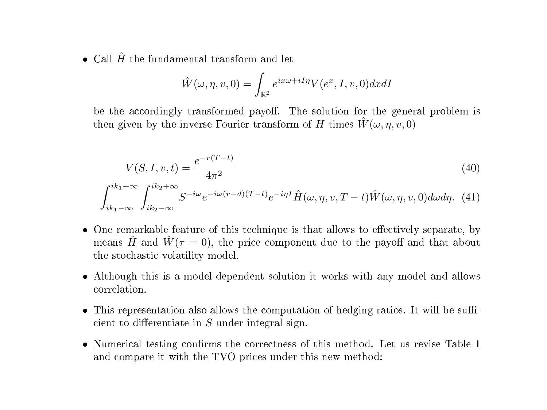• Call  $\hat{H}$  the fundamental transform and let

$$
\hat{W}(\omega, \eta, v, 0) = \int_{\mathbb{R}^2} e^{ix\omega + iI\eta} V(e^x, I, v, 0) dx dI
$$

be the accordingly transformed payoff. The solution for the general problem is then given by the inverse Fourier transform of H times  $\tilde{W}(\omega, \eta, v, 0)$ 

$$
V(S, I, v, t) = \frac{e^{-r(T-t)}}{4\pi^2}
$$
\n(40)

$$
\int_{ik_1-\infty}^{ik_1+\infty} \int_{ik_2-\infty}^{ik_2+\infty} S^{-i\omega} e^{-i\omega(r-d)(T-t)} e^{-i\eta I} \hat{H}(\omega, \eta, v, T-t) \hat{W}(\omega, \eta, v, 0) d\omega d\eta. (41)
$$

- One remarkable feature of this technique is that allows to effectively separate, by means  $\hat{H}$  and  $\hat{W}(\tau = 0)$ , the price component due to the payoff and that about the stochastic volatility model.
- Although this is a model-dependent solution it works with any model and allows correlation.
- $\bullet$  This representation also allows the computation of hedging ratios. It will be sufficient to differentiate in  $S$  under integral sign.
- $\bullet$  Numerical testing confirms the correctness of this method. Let us revise Table 1 and compare it with the TVO prices under this new method: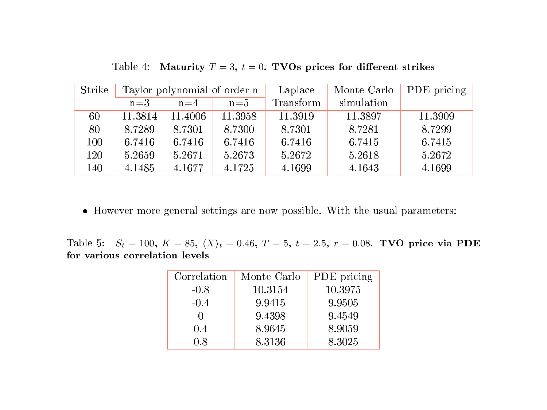| Strike | Taylor polynomial of order n |         |         | Laplace   | Monte Carlo | PDE pricing |
|--------|------------------------------|---------|---------|-----------|-------------|-------------|
|        | $n=3$                        | $n=4$   | $n = 5$ | Transform | simulation  |             |
| 60     | 11.3814                      | 11.4006 | 11.3958 | 11.3919   | 11.3897     | 11.3909     |
| 80     | 8.7289                       | 8.7301  | 8.7300  | 8.7301    | 8.7281      | 8.7299      |
| 100    | 6.7416                       | 6.7416  | 6.7416  | 6.7416    | 6.7415      | 6.7415      |
| 120    | 5.2659                       | 5.2671  | 5.2673  | 5.2672    | 5.2618      | 5.2672      |
| 140    | 4.1485                       | 4.1677  | 4.1725  | 4.1699    | 4.1643      | 4.1699      |

Table 4: Maturity  $T = 3$ ,  $t = 0$ . TVOs prices for different strikes

• However more general settings are now possible. With the usual parameters:

Table 5:  $S_t = 100$ ,  $K = 85$ ,  $\langle X \rangle_t = 0.46$ ,  $T = 5$ ,  $t = 2.5$ ,  $r = 0.08$ . TVO price via PDE for various correlation levels

| Correlation | Monte Carlo | PDE pricing |
|-------------|-------------|-------------|
| $-0.8$      | 10.3154     | 10.3975     |
| $-0.4$      | 9.9415      | 9.9505      |
|             | 9.4398      | 9.4549      |
| 0.4         | 8.9645      | 8.9059      |
| 0.8         | 8.3136      | 8.3025      |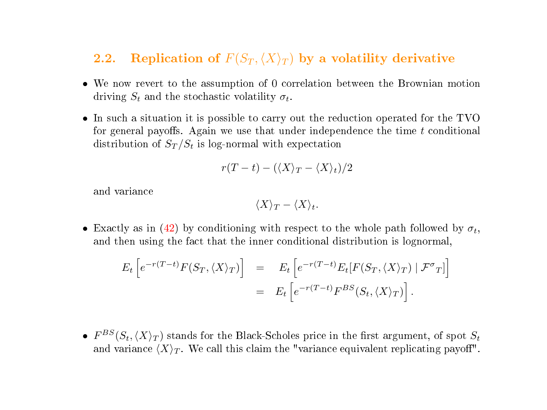## 2.2. Replication of  $F(S_T, \langle X \rangle_T)$  by a volatility derivative

- We now revert to the assumption of 0 correlation between the Brownian motion driving  $S_t$  and the stochastic volatility  $\sigma_t$ .
- In such a situation it is possible to carry out the reduction operated for the TVO for general payoffs. Again we use that under independence the time  $t$  conditional distribution of  $S_T/S_t$  is log-normal with expectation

$$
r(T-t) - (\langle X \rangle_T - \langle X \rangle_t)/2
$$

and variance

$$
\langle X \rangle_T - \langle X \rangle_t.
$$

• Exactly as in [\(42\)](#page-0-0) by conditioning with respect to the whole path followed by  $\sigma_t$ , and then using the fact that the inner conditional distribution is lognormal,

$$
E_t \left[ e^{-r(T-t)} F(S_T, \langle X \rangle_T) \right] = E_t \left[ e^{-r(T-t)} E_t [F(S_T, \langle X \rangle_T) | \mathcal{F}^{\sigma}_T] \right]
$$
  
= 
$$
E_t \left[ e^{-r(T-t)} F^{BS}(S_t, \langle X \rangle_T) \right].
$$

•  $F^{BS}(S_t,\langle X \rangle_T)$  stands for the Black-Scholes price in the first argument, of spot  $S_t$ and variance  $\langle X \rangle_T$ . We call this claim the "variance equivalent replicating payoff".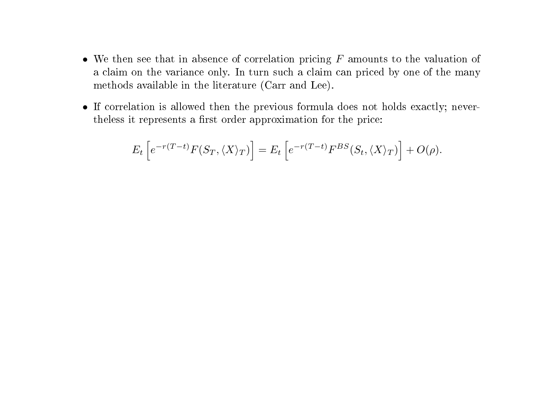- We then see that in absence of correlation pricing  $F$  amounts to the valuation of a claim on the variance only. In turn such a claim can priced by one of the many methods available in the literature (Carr and Lee).
- If correlation is allowed then the previous formula does not holds exactly; nevertheless it represents a first order approximation for the price:

$$
E_t\left[e^{-r(T-t)}F(S_T,\langle X\rangle_T)\right] = E_t\left[e^{-r(T-t)}F^{BS}(S_t,\langle X\rangle_T)\right] + O(\rho).
$$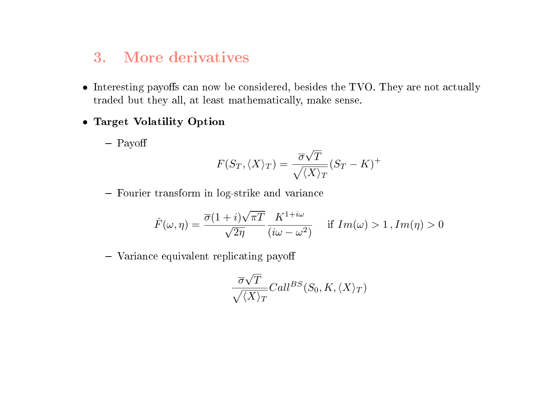# 3. More derivatives

- $\bullet$  Interesting payoffs can now be considered, besides the TVO. They are not actually traded but they all, at least mathematically, make sense.
- Target Volatility Option
	- Payoff

$$
F(S_T, \langle X \rangle_T) = \frac{\overline{\sigma}\sqrt{T}}{\sqrt{\langle X \rangle_T}}(S_T - K)^+
$$

Fourier transform in log-strike and variance

$$
\hat{F}(\omega,\eta) = \frac{\overline{\sigma}(1+i)\sqrt{\pi T}}{\sqrt{2\eta}} \frac{K^{1+i\omega}}{(i\omega - \omega^2)} \quad \text{if } Im(\omega) > 1, Im(\eta) > 0
$$

 $-$  Variance equivalent replicating payoff

$$
\frac{\overline{\sigma}\sqrt{T}}{\sqrt{\langle X \rangle_T}}Call^{BS}(S_0, K, \langle X \rangle_T)
$$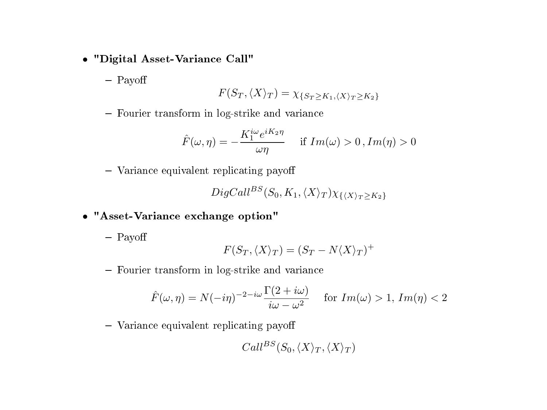- "Digital Asset-Variance Call"
	- Payoff

$$
F(S_T, \langle X \rangle_T) = \chi_{\{S_T \ge K_1, \langle X \rangle_T \ge K_2\}}
$$

- Fourier transform in log-strike and variance

$$
\hat{F}(\omega,\eta) = -\frac{K_1^{i\omega} e^{iK_2 \eta}}{\omega \eta} \quad \text{if } Im(\omega) > 0, Im(\eta) > 0
$$

 $-$  Variance equivalent replicating payoff

$$
DigCall^{BS}(S_0, K_1, \langle X \rangle_T)\chi_{\{\langle X \rangle_T \ge K_2\}}
$$

- "Asset-Variance exchange option"
	- Payoff

$$
F(S_T, \langle X \rangle_T) = (S_T - N\langle X \rangle_T)^+
$$

Fourier transform in log-strike and variance

$$
\hat{F}(\omega,\eta) = N(-i\eta)^{-2-i\omega} \frac{\Gamma(2+i\omega)}{i\omega - \omega^2} \quad \text{for } Im(\omega) > 1, Im(\eta) < 2
$$

 $-$  Variance equivalent replicating payoff

$$
Call^{BS}(S_0,\langle X\rangle_T,\langle X\rangle_T)
$$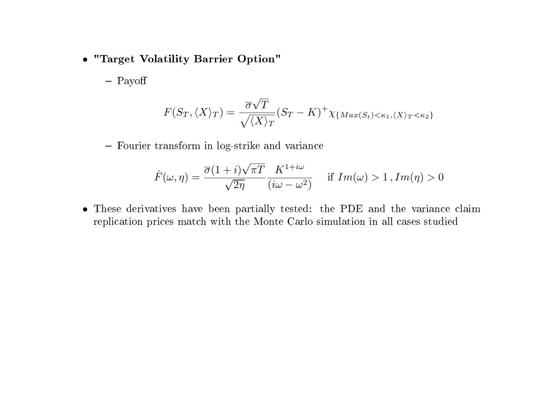- "Target Volatility Barrier Option"
	- Payoff

$$
F(S_T, \langle X \rangle_T) = \frac{\overline{\sigma}\sqrt{T}}{\sqrt{\langle X \rangle_T}} (S_T - K)^+ \chi_{\{Max(S_t) < \kappa_1, \langle X \rangle_T < \kappa_2\}}
$$

- Fourier transform in log-strike and variance

$$
\hat{F}(\omega,\eta) = \frac{\overline{\sigma}(1+i)\sqrt{\pi T}}{\sqrt{2\eta}} \frac{K^{1+i\omega}}{(i\omega - \omega^2)} \quad \text{if } Im(\omega) > 1, Im(\eta) > 0
$$

• These derivatives have been partially tested: the PDE and the variance claim replication prices match with the Monte Carlo simulation in all cases studied